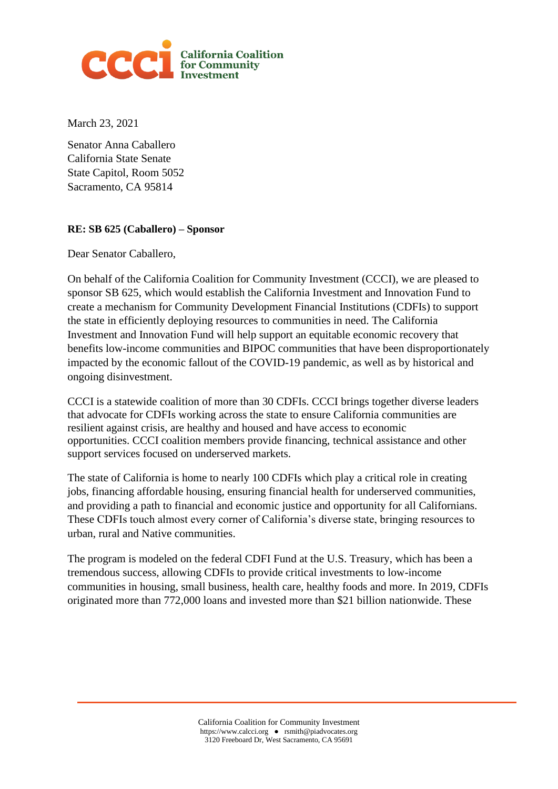

March 23, 2021

Senator Anna Caballero California State Senate State Capitol, Room 5052 Sacramento, CA 95814

## **RE: SB 625 (Caballero) – Sponsor**

Dear Senator Caballero,

On behalf of the California Coalition for Community Investment (CCCI), we are pleased to sponsor SB 625, which would establish the California Investment and Innovation Fund to create a mechanism for Community Development Financial Institutions (CDFIs) to support the state in efficiently deploying resources to communities in need. The California Investment and Innovation Fund will help support an equitable economic recovery that benefits low-income communities and BIPOC communities that have been disproportionately impacted by the economic fallout of the COVID-19 pandemic, as well as by historical and ongoing disinvestment.

CCCI is a statewide coalition of more than 30 CDFIs. CCCI brings together diverse leaders that advocate for CDFIs working across the state to ensure California communities are resilient against crisis, are healthy and housed and have access to economic opportunities. CCCI coalition members provide financing, technical assistance and other support services focused on underserved markets.

The state of California is home to nearly 100 CDFIs which play a critical role in creating jobs, financing affordable housing, ensuring financial health for underserved communities, and providing a path to financial and economic justice and opportunity for all Californians. These CDFIs touch almost every corner of California's diverse state, bringing resources to urban, rural and Native communities.

The program is modeled on the federal CDFI Fund at the U.S. Treasury, which has been a tremendous success, allowing CDFIs to provide critical investments to low-income communities in housing, small business, health care, healthy foods and more. In 2019, CDFIs originated more than 772,000 loans and invested more than \$21 billion nationwide. These